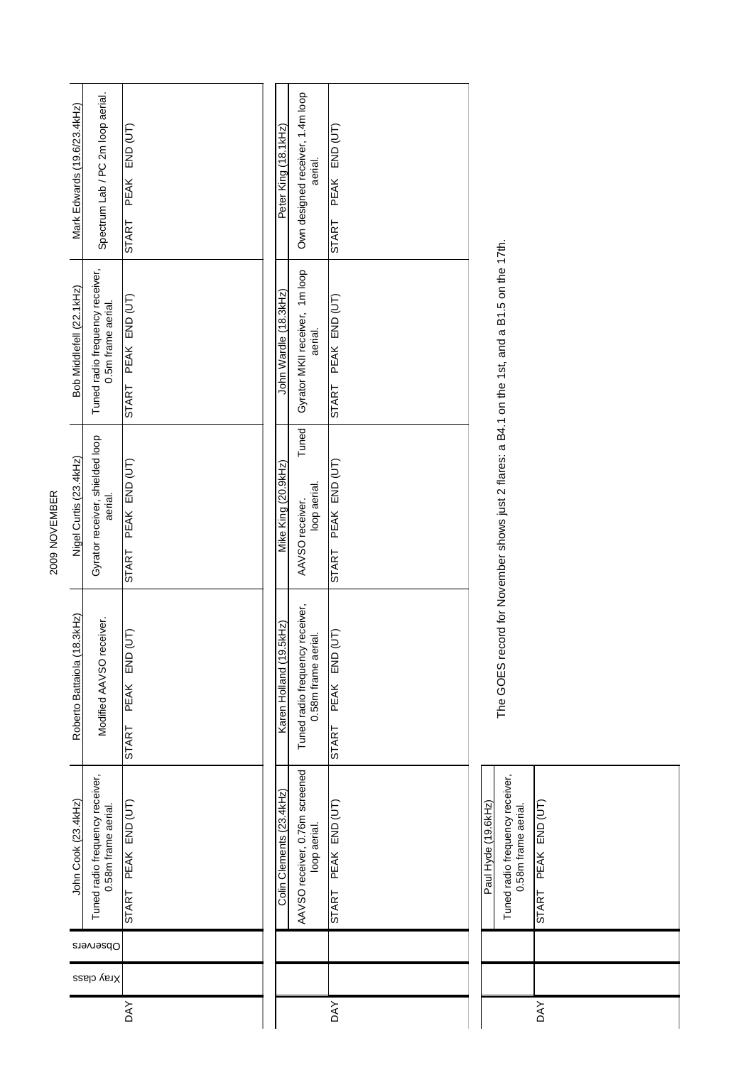| Mark Edwards (19.6/23.4kHz) | Spectrum Lab / PC 2m loop aerial.                      | PEAK END (UT)<br>START     | Peter King (18.1kHz)     | Own designed receiver, 1.4m loop<br>aerial.            | PEAK END (UT)<br><b>START</b>    |                                                       |  |
|-----------------------------|--------------------------------------------------------|----------------------------|--------------------------|--------------------------------------------------------|----------------------------------|-------------------------------------------------------|--|
| Bob Middlefell (22.1kHz)    | Tuned radio frequency receiver,<br>0.5m frame aerial.  | START PEAK END (UT)        | John Wardle (18.3kHz)    | Gyrator MKII receiver, 1m loop<br>aerial.              | START PEAK END (UT)              | 사건 시설 시설 시설 시설 시설 시설<br>نہ 4 میلا می <b>ہ 4 میں</b> م |  |
| Nigel Curtis (23.4kHz)      | Gyrator receiver, shielded loop<br>aerial.             | PEAK END (UT)<br>START     | Mike King (20.9kHz)      | Tuned<br>loop aerial.<br>AAVSO receiver.               | START PEAK END (UT)              | مله ٩ غورين هندستها م                                 |  |
| Roberto Battaiola (18.3kHz) | Modified AAVSO receiver.                               | ίΠ<br>END<br>PEAK<br>START | Karen Holland (19.5kHz)  | Tuned radio frequency receiver,<br>0.58m frame aerial. | (TU)<br>PEAK END<br><b>START</b> | ---------<br>こうしょう                                    |  |
| John Cook (23.4kHz)         | Tuned radio frequency receiver,<br>0.58m frame aerial. | START PEAK END (UT)        | Colin Clements (23.4kHz) | AAVSO receiver, 0.76m screened<br>loop aerial.         | START PEAK END (UT)              | Paul Hyde (19.6kHz)                                   |  |
| Observers                   |                                                        |                            |                          |                                                        |                                  |                                                       |  |
| Xray class                  |                                                        |                            |                          |                                                        |                                  |                                                       |  |
|                             |                                                        | <b>DAY</b>                 |                          |                                                        | DAY                              |                                                       |  |

2009 NOVEMBER

2009 NOVEMBER

| -aui riyue (19.0Nr2) | Tuned radio frequency receiver,<br>0.58m frame aerial. | START PEAK END (UT) |  |  |  |
|----------------------|--------------------------------------------------------|---------------------|--|--|--|
|                      |                                                        |                     |  |  |  |
|                      |                                                        |                     |  |  |  |
|                      |                                                        | <b>DAY</b>          |  |  |  |

The GOES record for November shows just 2 flares: a B4.1 on the 1st, and a B1.5 on the 17th. The GOES record for November shows just 2 flares: a B4.1 on the 1st, and a B1.5 on the 17th.